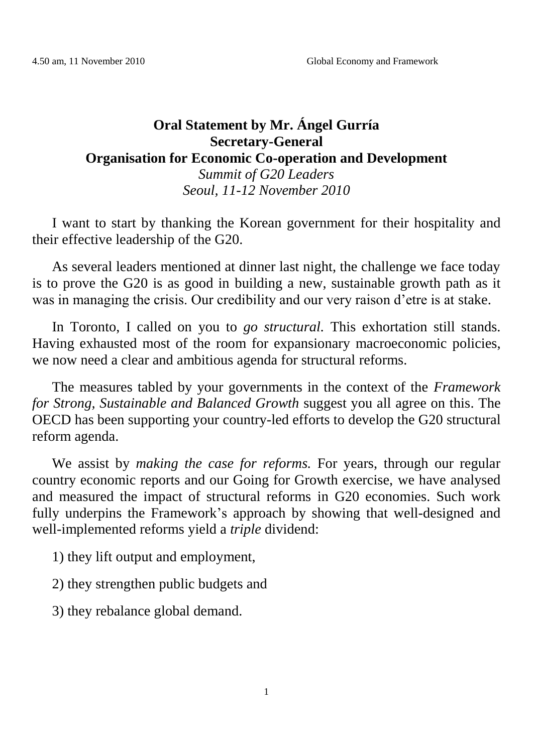## **Oral Statement by Mr. Ángel Gurría Secretary-General Organisation for Economic Co-operation and Development** *Summit of G20 Leaders Seoul, 11-12 November 2010*

I want to start by thanking the Korean government for their hospitality and their effective leadership of the G20.

As several leaders mentioned at dinner last night, the challenge we face today is to prove the G20 is as good in building a new, sustainable growth path as it was in managing the crisis. Our credibility and our very raison d'etre is at stake.

In Toronto, I called on you to *go structural.* This exhortation still stands. Having exhausted most of the room for expansionary macroeconomic policies, we now need a clear and ambitious agenda for structural reforms.

The measures tabled by your governments in the context of the *Framework for Strong, Sustainable and Balanced Growth* suggest you all agree on this. The OECD has been supporting your country-led efforts to develop the G20 structural reform agenda.

We assist by *making the case for reforms.* For years, through our regular country economic reports and our Going for Growth exercise, we have analysed and measured the impact of structural reforms in G20 economies. Such work fully underpins the Framework's approach by showing that well-designed and well-implemented reforms yield a *triple* dividend:

1) they lift output and employment,

2) they strengthen public budgets and

3) they rebalance global demand.